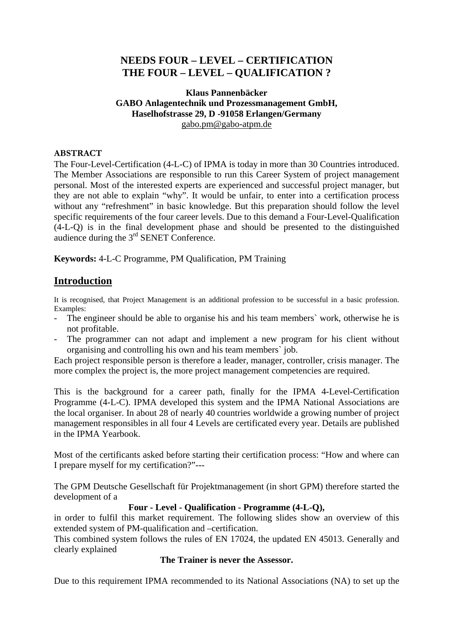# **NEEDS FOUR – LEVEL – CERTIFICATION THE FOUR – LEVEL – QUALIFICATION ?**

### **Klaus Pannenbäcker GABO Anlagentechnik und Prozessmanagement GmbH, Haselhofstrasse 29, D -91058 Erlangen/Germany**  gabo.pm@gabo-atpm.de

## **ABSTRACT**

The Four-Level-Certification (4-L-C) of IPMA is today in more than 30 Countries introduced. The Member Associations are responsible to run this Career System of project management personal. Most of the interested experts are experienced and successful project manager, but they are not able to explain "why". It would be unfair, to enter into a certification process without any "refreshment" in basic knowledge. But this preparation should follow the level specific requirements of the four career levels. Due to this demand a Four-Level-Qualification (4-L-Q) is in the final development phase and should be presented to the distinguished audience during the  $3<sup>rd</sup>$  SENET Conference.

**Keywords:** 4-L-C Programme, PM Qualification, PM Training

# **Introduction**

It is recognised, that Project Management is an additional profession to be successful in a basic profession. Examples:

- The engineer should be able to organise his and his team members` work, otherwise he is not profitable.
- The programmer can not adapt and implement a new program for his client without organising and controlling his own and his team members` job.

Each project responsible person is therefore a leader, manager, controller, crisis manager. The more complex the project is, the more project management competencies are required.

This is the background for a career path, finally for the IPMA 4-Level-Certification Programme (4-L-C). IPMA developed this system and the IPMA National Associations are the local organiser. In about 28 of nearly 40 countries worldwide a growing number of project management responsibles in all four 4 Levels are certificated every year. Details are published in the IPMA Yearbook.

Most of the certificants asked before starting their certification process: "How and where can I prepare myself for my certification?"---

The GPM Deutsche Gesellschaft für Projektmanagement (in short GPM) therefore started the development of a

## **Four - Level - Qualification - Programme (4-L-Q),**

in order to fulfil this market requirement. The following slides show an overview of this extended system of PM-qualification and –certification.

This combined system follows the rules of EN 17024, the updated EN 45013. Generally and clearly explained

### **The Trainer is never the Assessor.**

Due to this requirement IPMA recommended to its National Associations (NA) to set up the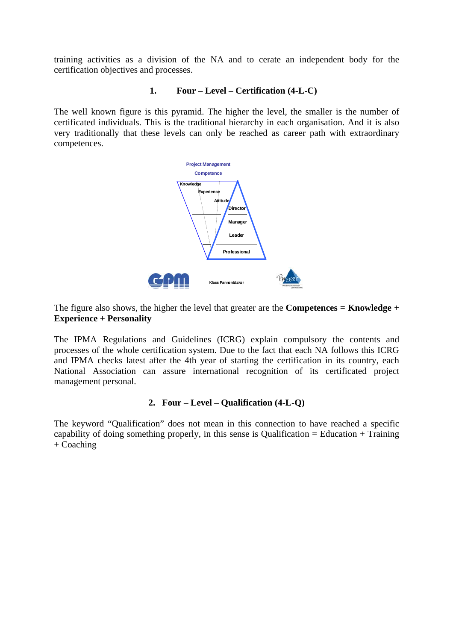training activities as a division of the NA and to cerate an independent body for the certification objectives and processes.

#### **1. Four – Level – Certification (4-L-C)**

The well known figure is this pyramid. The higher the level, the smaller is the number of certificated individuals. This is the traditional hierarchy in each organisation. And it is also very traditionally that these levels can only be reached as career path with extraordinary competences.



The figure also shows, the higher the level that greater are the **Competences = Knowledge + Experience + Personality** 

The IPMA Regulations and Guidelines (ICRG) explain compulsory the contents and processes of the whole certification system. Due to the fact that each NA follows this ICRG and IPMA checks latest after the 4th year of starting the certification in its country, each National Association can assure international recognition of its certificated project management personal.

#### **2. Four – Level – Qualification (4-L-Q)**

The keyword "Qualification" does not mean in this connection to have reached a specific capability of doing something properly, in this sense is Qualification = Education + Training  $+$  Coaching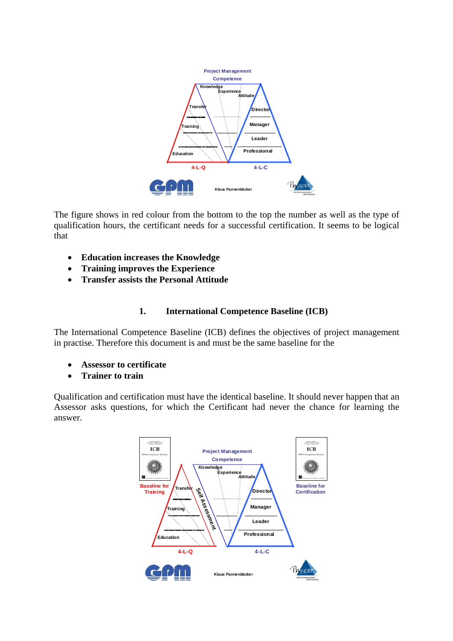

The figure shows in red colour from the bottom to the top the number as well as the type of qualification hours, the certificant needs for a successful certification. It seems to be logical that

- **Education increases the Knowledge**
- **Training improves the Experience**
- **Transfer assists the Personal Attitude**

## **1. International Competence Baseline (ICB)**

The International Competence Baseline (ICB) defines the objectives of project management in practise. Therefore this document is and must be the same baseline for the

- **Assessor to certificate**
- **Trainer to train**

Qualification and certification must have the identical baseline. It should never happen that an Assessor asks questions, for which the Certificant had never the chance for learning the answer.